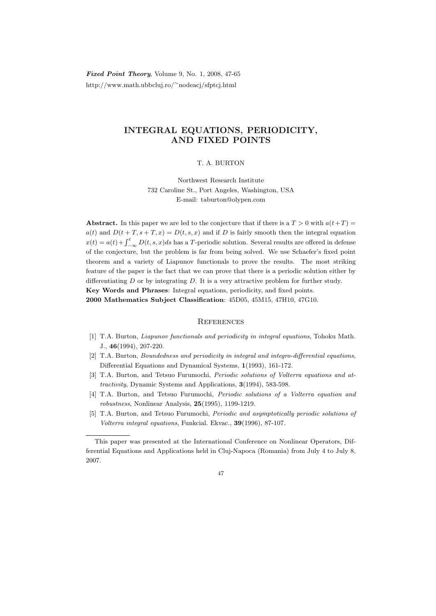Fixed Point Theory, Volume 9, No. 1, 2008, 47-65 http://www.math.ubbcluj.ro/<sup>∼</sup>nodeacj/sfptcj.html

## INTEGRAL EQUATIONS, PERIODICITY, AND FIXED POINTS

## T. A. BURTON

Northwest Research Institute 732 Caroline St., Port Angeles, Washington, USA E-mail: taburton@olypen.com

Abstract. In this paper we are led to the conjecture that if there is a  $T > 0$  with  $a(t+T) =$  $a(t)$  and  $D(t + T, s + T, x) = D(t, s, x)$  and if D is fairly smooth then the integral equation  $x(t) = a(t) + \int_{-\infty}^{t} D(t, s, x)ds$  has a T-periodic solution. Several results are offered in defense of the conjecture, but the problem is far from being solved. We use Schaefer's fixed point theorem and a variety of Liapunov functionals to prove the results. The most striking feature of the paper is the fact that we can prove that there is a periodic solution either by differentiating  $D$  or by integrating  $D$ . It is a very attractive problem for further study. Key Words and Phrases: Integral equations, periodicity, and fixed points. 2000 Mathematics Subject Classification: 45D05, 45M15, 47H10, 47G10.

## **REFERENCES**

- [1] T.A. Burton, Liapunov functionals and periodicity in integral equations, Tohoku Math. J., 46(1994), 207-220.
- [2] T.A. Burton, Boundedness and periodicity in integral and integro-differential equations, Differential Equations and Dynamical Systems, 1(1993), 161-172.
- [3] T.A. Burton, and Tetsuo Furumochi, Periodic solutions of Volterra equations and attractivity, Dynamic Systems and Applications, 3(1994), 583-598.
- [4] T.A. Burton, and Tetsuo Furumochi, Periodic solutions of a Volterra equation and robustness, Nonlinear Analysis, 25(1995), 1199-1219.
- [5] T.A. Burton, and Tetsuo Furumochi, Periodic and asymptotically periodic solutions of Volterra integral equations, Funkcial. Ekvac., 39(1996), 87-107.

This paper was presented at the International Conference on Nonlinear Operators, Differential Equations and Applications held in Cluj-Napoca (Romania) from July 4 to July 8, 2007.

<sup>47</sup>